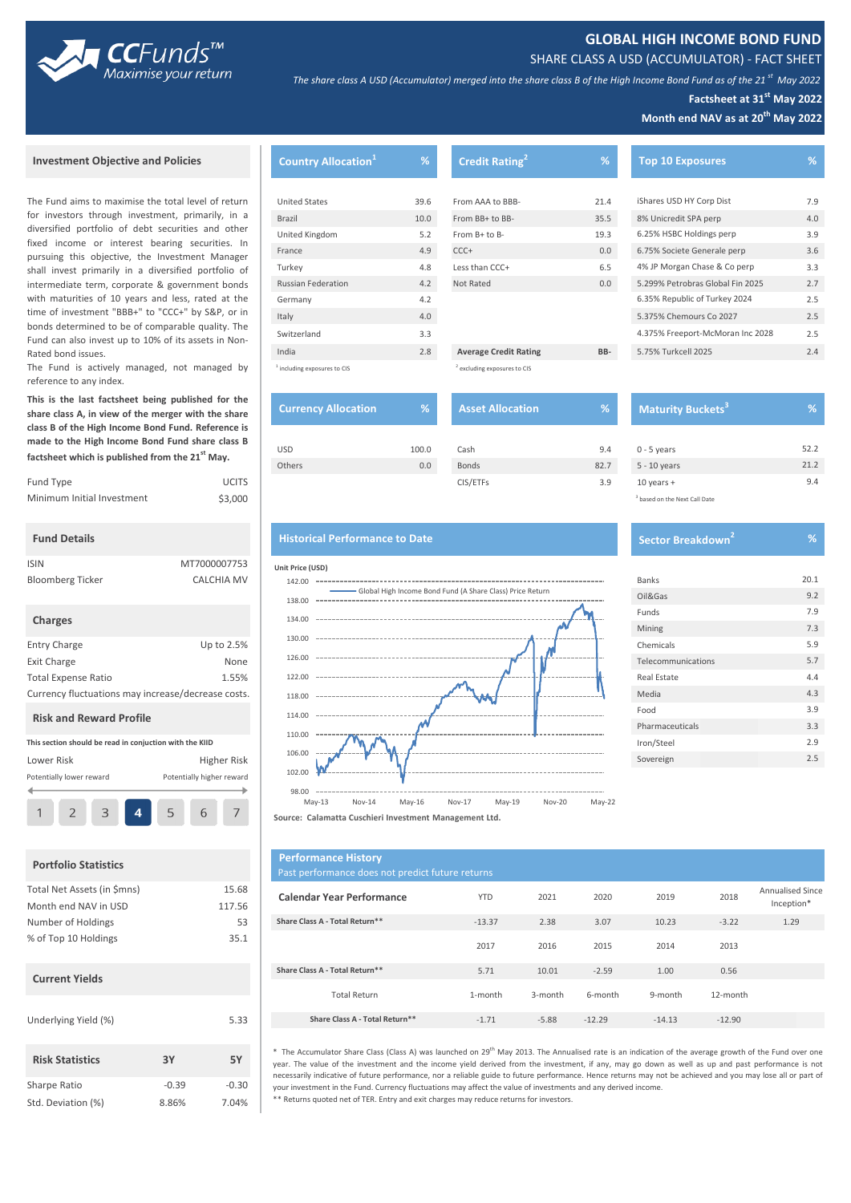



*The share class A USD (Accumulator) merged into the share class B of the High Income Bond Fund as of the 21 st May 2022*

### **Factsheet at 31st May 2022**

**Month end NAV as at 20th May 2022**

#### **Investment Objective and Policies**

The Fund aims to maximise the total level of return for investors through investment, primarily, in a diversified portfolio of debt securities and other fixed income or interest bearing securities. In pursuing this objective, the Investment Manager shall invest primarily in a diversified portfolio of intermediate term, corporate & government bonds with maturities of 10 years and less, rated at the time of investment "BBB+" to "CCC+" by S&P, or in bonds determined to be of comparable quality. The Fund can also invest up to 10% of its assets in Non-Rated bond issues.

The Fund is actively managed, not managed by reference to any index.

**This is the last factsheet being published for the share class A, in view of the merger with the share class B of the High Income Bond Fund. Reference is made to the High Income Bond Fund share class B factsheet which is published from the 21st May.** 

| Fund Type                  | <b>UCITS</b> | CIS/ETFs | $10$ vears $+$   |
|----------------------------|--------------|----------|------------------|
| Minimum Initial Investment | \$3,000      |          | $3$ based on the |

# **Fund Details**

| <b>ISIN</b>             | MT7000007753      |
|-------------------------|-------------------|
| <b>Bloomberg Ticker</b> | <b>CALCHIA MV</b> |

#### **Charges**

| <b>Entry Charge</b>                                | Up to 2.5% |  |  |  |
|----------------------------------------------------|------------|--|--|--|
| <b>Exit Charge</b>                                 | None       |  |  |  |
| <b>Total Expense Ratio</b>                         | 1.55%      |  |  |  |
| Currency fluctuations may increase /decrease costs |            |  |  |  |

#### **Risk and Reward Profile**

| This section should be read in conjuction with the KIID |  |   |  |   |   |  |
|---------------------------------------------------------|--|---|--|---|---|--|
| Higher Risk<br>Lower Risk                               |  |   |  |   |   |  |
| Potentially higher reward<br>Potentially lower reward   |  |   |  |   |   |  |
|                                                         |  | З |  | 5 | h |  |

#### **Portfolio Statistics**

| Total Net Assets (in \$mns) |         | 15.68   |
|-----------------------------|---------|---------|
| Month end NAV in USD        |         | 117.56  |
| Number of Holdings          |         | 53      |
| % of Top 10 Holdings        |         | 35.1    |
| <b>Current Yields</b>       |         |         |
| Underlying Yield (%)        |         | 5.33    |
| <b>Risk Statistics</b>      | 3Υ      | 5Υ      |
| Sharpe Ratio                | $-0.39$ | $-0.30$ |
| Std. Deviation (%)          | 8.86%   | 7.04%   |

| <b>Country Allocation</b> <sup>1</sup>  | $\overline{\mathscr{C}}$ | <b>Credit Rating</b>                    | %    | <b>Top 10 Exposures</b>          | %   |
|-----------------------------------------|--------------------------|-----------------------------------------|------|----------------------------------|-----|
|                                         |                          |                                         |      |                                  |     |
| <b>United States</b>                    | 39.6                     | From AAA to BBB-                        | 21.4 | iShares USD HY Corp Dist         | 7.9 |
| Brazil                                  | 10.0                     | From BB+ to BB-                         | 35.5 | 8% Unicredit SPA perp            | 4.0 |
| United Kingdom                          | 5.2                      | From B+ to B-                           | 19.3 | 6.25% HSBC Holdings perp         | 3.9 |
| France                                  | 4.9                      | $CCC +$                                 | 0.0  | 6.75% Societe Generale perp      | 3.6 |
| Turkey                                  | 4.8                      | Less than CCC+                          | 6.5  | 4% JP Morgan Chase & Co perp     | 3.3 |
| <b>Russian Federation</b>               | 4.2                      | Not Rated                               | 0.0  | 5.299% Petrobras Global Fin 2025 | 2.7 |
| Germany                                 | 4.2                      |                                         |      | 6.35% Republic of Turkey 2024    | 2.5 |
| Italy                                   | 4.0                      |                                         |      | 5.375% Chemours Co 2027          | 2.5 |
| Switzerland                             | 3.3                      |                                         |      | 4.375% Freeport-McMoran Inc 2028 | 2.5 |
| India                                   | 2.8                      | <b>Average Credit Rating</b>            | BB-  | 5.75% Turkcell 2025              | 2.4 |
| <sup>1</sup> including exposures to CIS |                          | <sup>2</sup> excluding exposures to CIS |      |                                  |     |

| <b>Currency Allocation</b> | %     | <b>Asset Allocation</b> | %'   | <b>Maturity</b> |
|----------------------------|-------|-------------------------|------|-----------------|
| <b>USD</b>                 | 100.0 | Cash                    | 9.4  | $0 - 5$ years   |
| Others                     | 0.0   | <b>Bonds</b>            | 82.7 | 5 - 10 years    |
|                            |       | CIS/FTFs                | 3.9  | $10$ years $+$  |

| <b>Asset Allocation</b> | %    |  |
|-------------------------|------|--|
|                         |      |  |
| Cash                    | 9.4  |  |
| <b>Bonds</b>            | 82.7 |  |
| CIS/ETFs                | 3.9  |  |

## **Historical Performance to Date**



| $0 - 5$ years                            | 52.2 |
|------------------------------------------|------|
| 5 - 10 years                             | 21.2 |
| 10 years $+$                             | 9.4  |
| <sup>3</sup> based on the Next Call Date |      |
|                                          |      |
|                                          |      |

| Sector Breakdown <sup>41</sup> |
|--------------------------------|

**Maturity Buckets**<sup>3</sup>

| <b>Banks</b>       | 20.1 |
|--------------------|------|
| Oil&Gas            | 9.2  |
| Funds              | 7.9  |
| Mining             | 7.3  |
| Chemicals          | 5.9  |
| Telecommunications | 5.7  |
| Real Estate        | 4.4  |
| Media              | 4.3  |
| Food               | 3.9  |
| Pharmaceuticals    | 3.3  |
| Iron/Steel         | 2.9  |
| Sovereign          | 2.5  |

**Source: Calamatta Cuschieri Investment Management Ltd.**

| <b>Portfolio Statistics</b>                         |                     | <b>Performance History</b><br>Past performance does not predict future returns |            |         |          |          |          |                                |
|-----------------------------------------------------|---------------------|--------------------------------------------------------------------------------|------------|---------|----------|----------|----------|--------------------------------|
| Total Net Assets (in \$mns)<br>Month end NAV in USD | 15.68<br>117.56     | <b>Calendar Year Performance</b>                                               | <b>YTD</b> | 2021    | 2020     | 2019     | 2018     | Annualised Since<br>Inception* |
| Number of Holdings                                  | 53                  | Share Class A - Total Return**                                                 | $-13.37$   | 2.38    | 3.07     | 10.23    | $-3.22$  | 1.29                           |
| % of Top 10 Holdings                                | 35.1                |                                                                                | 2017       | 2016    | 2015     | 2014     | 2013     |                                |
| <b>Current Yields</b>                               |                     | Share Class A - Total Return**                                                 | 5.71       | 10.01   | $-2.59$  | 1.00     | 0.56     |                                |
|                                                     | <b>Total Return</b> | 1-month                                                                        | 3-month    | 6-month | 9-month  | 12-month |          |                                |
| Underlying Yield (%)                                | 5.33                | Share Class A - Total Return**                                                 | $-1.71$    | $-5.88$ | $-12.29$ | $-14.13$ | $-12.90$ |                                |

\*\* Returns quoted net of TER. Entry and exit charges may reduce returns for investors. \* The Accumulator Share Class (Class A) was launched on 29<sup>th</sup> May 2013. The Annualised rate is an indication of the average growth of the Fund over one year. The value of the investment and the income yield derived from the investment, if any, may go down as well as up and past performance is not necessarily indicative of future performance, nor a reliable guide to future performance. Hence returns may not be achieved and you may lose all or part of your investment in the Fund. Currency fluctuations may affect the value of investments and any derived income.